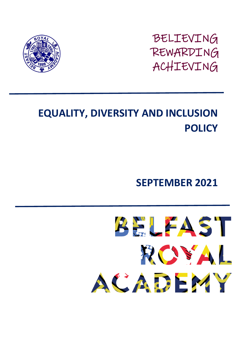BELIEVING REWARDING ACHIEVING



# **EQUALITY, DIVERSITY AND INCLUSION POLICY**

**SEPTEMBER 2021**

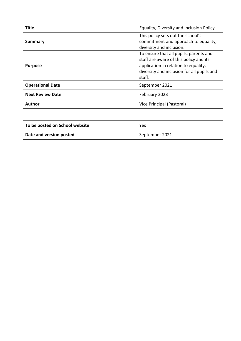| <b>Title</b>            | Equality, Diversity and Inclusion Policy                                                                                                                                         |
|-------------------------|----------------------------------------------------------------------------------------------------------------------------------------------------------------------------------|
| <b>Summary</b>          | This policy sets out the school's<br>commitment and approach to equality,<br>diversity and inclusion.                                                                            |
| <b>Purpose</b>          | To ensure that all pupils, parents and<br>staff are aware of this policy and its<br>application in relation to equality,<br>diversity and inclusion for all pupils and<br>staff. |
| <b>Operational Date</b> | September 2021                                                                                                                                                                   |
| <b>Next Review Date</b> | February 2023                                                                                                                                                                    |
| <b>Author</b>           | Vice Principal (Pastoral)                                                                                                                                                        |

| To be posted on School website | Yes            |
|--------------------------------|----------------|
| Date and version posted        | September 2021 |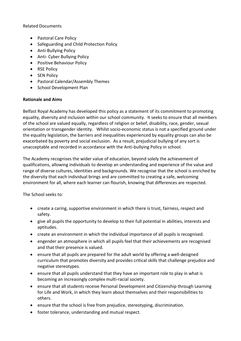Related Documents

- Pastoral Care Policy
- Safeguarding and Child Protection Policy
- Anti-Bullying Policy
- Anti- Cyber Bullying Policy
- Positive Behaviour Policy
- RSE Policy
- SEN Policy
- Pastoral Calendar/Assembly Themes
- School Development Plan

## **Rationale and Aims**

Belfast Royal Academy has developed this policy as a statement of its commitment to promoting equality, diversity and inclusion within our school community. It seeks to ensure that all members of the school are valued equally, regardless of religion or belief, disability, race, gender, sexual orientation or transgender identity. Whilst socio-economic status is not a specified ground under the equality legislation, the barriers and inequalities experienced by equality groups can also be exacerbated by poverty and social exclusion. As a result, prejudicial bullying of any sort is unacceptable and recorded in accordance with the Anti-bullying Policy in school.

The Academy recognises the wider value of education, beyond solely the achievement of qualifications, allowing individuals to develop an understanding and experience of the value and range of diverse cultures, identities and backgrounds. We recognise that the school is enriched by the diversity that each individual brings and are committed to creating a safe, welcoming environment for all, where each learner can flourish, knowing that differences are respected.

The School seeks to:

- create a caring, supportive environment in which there is trust, fairness, respect and safety.
- give all pupils the opportunity to develop to their full potential in abilities, interests and aptitudes.
- create an environment in which the individual importance of all pupils is recognised.
- engender an atmosphere in which all pupils feel that their achievements are recognised and that their presence is valued.
- ensure that all pupils are prepared for the adult world by offering a well-designed curriculum that promotes diversity and provides critical skills that challenge prejudice and negative stereotypes.
- ensure that all pupils understand that they have an important role to play in what is becoming an increasingly complex multi-racial society.
- ensure that all students receive Personal Development and Citizenship through Learning for Life and Work, in which they learn about themselves and their responsibilities to others.
- ensure that the school is free from prejudice, stereotyping, discrimination.
- foster tolerance, understanding and mutual respect.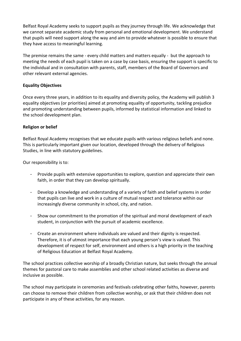Belfast Royal Academy seeks to support pupils as they journey through life. We acknowledge that we cannot separate academic study from personal and emotional development. We understand that pupils will need support along the way and aim to provide whatever is possible to ensure that they have access to meaningful learning.

The premise remains the same - every child matters and matters equally - but the approach to meeting the needs of each pupil is taken on a case by case basis, ensuring the support is specific to the individual and in consultation with parents, staff, members of the Board of Governors and other relevant external agencies.

## **Equality Objectives**

Once every three years, in addition to its equality and diversity policy, the Academy will publish 3 equality objectives (or priorities) aimed at promoting equality of opportunity, tackling prejudice and promoting understanding between pupils, informed by statistical information and linked to the school development plan.

#### **Religion or belief**

Belfast Royal Academy recognises that we educate pupils with various religious beliefs and none. This is particularly important given our location, developed through the delivery of Religious Studies, in line with statutory guidelines.

Our responsibility is to:

- Provide pupils with extensive opportunities to explore, question and appreciate their own faith, in order that they can develop spiritually.
- Develop a knowledge and understanding of a variety of faith and belief systems in order that pupils can live and work in a culture of mutual respect and tolerance within our increasingly diverse community in school, city, and nation.
- Show our commitment to the promotion of the spiritual and moral development of each student, in conjunction with the pursuit of academic excellence.
- Create an environment where individuals are valued and their dignity is respected. Therefore, it is of utmost importance that each young person's view is valued. This development of respect for self, environment and others is a high priority in the teaching of Religious Education at Belfast Royal Academy.

The school practices collective worship of a broadly Christian nature, but seeks through the annual themes for pastoral care to make assemblies and other school related activities as diverse and inclusive as possible.

The school may participate in ceremonies and festivals celebrating other faiths, however, parents can choose to remove their children from collective worship, or ask that their children does not participate in any of these activities, for any reason.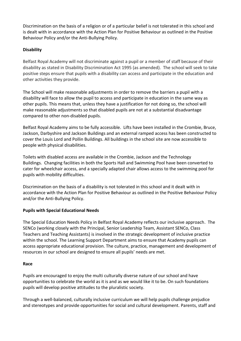Discrimination on the basis of a religion or of a particular belief is not tolerated in this school and is dealt with in accordance with the Action Plan for Positive Behaviour as outlined in the Positive Behaviour Policy and/or the Anti-Bullying Policy.

## **Disability**

Belfast Royal Academy will not discriminate against a pupil or a member of staff because of their disability as stated in Disability Discrimination Act 1995 (as amended). The school will seek to take positive steps ensure that pupils with a disability can access and participate in the education and other activities they provide.

The School will make reasonable adjustments in order to remove the barriers a pupil with a disability will face to allow the pupil to access and participate in education in the same way as other pupils. This means that, unless they have a justification for not doing so, the school will make reasonable adjustments so that disabled pupils are not at a substantial disadvantage compared to other non-disabled pupils.

Belfast Royal Academy aims to be fully accessible. Lifts have been installed in the Crombie, Bruce, Jackson, Darbyshire and Jackson Buildings and an external ramped access has been constructed to cover the Louis Lord and Pollin Buildings. All buildings in the school site are now accessible to people with physical disabilities.

Toilets with disabled access are available in the Crombie, Jackson and the Technology Buildings. Changing facilities in both the Sports Hall and Swimming Pool have been converted to cater for wheelchair access, and a specially adapted chair allows access to the swimming pool for pupils with mobility difficulties.

Discrimination on the basis of a disability is not tolerated in this school and it dealt with in accordance with the Action Plan for Positive Behaviour as outlined in the Positive Behaviour Policy and/or the Anti-Bullying Policy.

## **Pupils with Special Educational Needs**

The Special Education Needs Policy in Belfast Royal Academy reflects our inclusive approach. The SENCo (working closely with the Principal, Senior Leadership Team, Assistant SENCo, Class Teachers and Teaching Assistants) is involved in the strategic development of inclusive practice within the school. The Learning Support Department aims to ensure that Academy pupils can access appropriate educational provision. The culture, practice, management and development of resources in our school are designed to ensure all pupils' needs are met.

## **Race**

Pupils are encouraged to enjoy the multi culturally diverse nature of our school and have opportunities to celebrate the world as it is and as we would like it to be. On such foundations pupils will develop positive attitudes to the pluralistic society.

Through a well-balanced, culturally inclusive curriculum we will help pupils challenge prejudice and stereotypes and provide opportunities for social and cultural development. Parents, staff and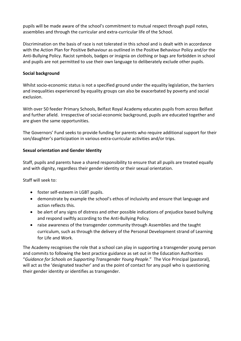pupils will be made aware of the school's commitment to mutual respect through pupil notes, assemblies and through the curricular and extra-curricular life of the School.

Discrimination on the basis of race is not tolerated in this school and is dealt with in accordance with the Action Plan for Positive Behaviour as outlined in the Positive Behaviour Policy and/or the Anti-Bullying Policy. Racist symbols, badges or insignia on clothing or bags are forbidden in school and pupils are not permitted to use their own language to deliberately exclude other pupils.

#### **Social background**

Whilst socio-economic status is not a specified ground under the equality legislation, the barriers and inequalities experienced by equality groups can also be exacerbated by poverty and social exclusion.

With over 50 feeder Primary Schools, Belfast Royal Academy educates pupils from across Belfast and further afield. Irrespective of social-economic background, pupils are educated together and are given the same opportunities.

The Governors' Fund seeks to provide funding for parents who require additional support for their son/daughter's participation in various extra-curricular activities and/or trips.

## **Sexual orientation and Gender Identity**

Staff, pupils and parents have a shared responsibility to ensure that all pupils are treated equally and with dignity, regardless their gender identity or their sexual orientation.

Staff will seek to:

- foster self-esteem in LGBT pupils.
- demonstrate by example the school's ethos of inclusivity and ensure that language and action reflects this.
- be alert of any signs of distress and other possible indications of prejudice based bullying and respond swiftly according to the Anti-Bullying Policy.
- raise awareness of the transgender community through Assemblies and the taught curriculum, such as through the delivery of the Personal Development strand of Learning for Life and Work.

The Academy recognises the role that a school can play in supporting a transgender young person and commits to following the best practice guidance as set out in the Education Authorities "*[Guidance for Schools on Supporting Transgender Young People](https://www.eani.org.uk/sites/default/files/2019-10/EA%20Guidance%20on%20supporting%20transgender%20young%20people_FINALFINAL_24.10.19.pdf)*." The Vice Principal (pastoral), will act as the 'designated teacher' and as the point of contact for any pupil who is questioning their gender identity or identifies as transgender.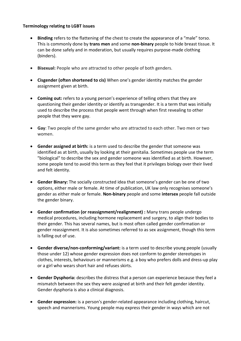#### **Terminology relating to LGBT issues**

- **Binding** refers to the flattening of the chest to create the appearance of a "male" torso. This is commonly done by **trans men** and some **non‐binary** people to hide breast tissue. It can be done safely and in moderation, but usually requires purpose‐made clothing (binders).
- **Bisexual:** People who are attracted to other people of both genders.
- **Cisgender (often shortened to cis)** When one's gender identity matches the gender assignment given at birth.
- **Coming out:** refers to a young person's experience of telling others that they are questioning their gender identity or identify as transgender. It is a term that was initially used to describe the process that people went through when first revealing to other people that they were gay.
- **Gay**: Two people of the same gender who are attracted to each other. Two men or two women.
- **Gender assigned at birth:** is a term used to describe the gender that someone was identified as at birth, usually by looking at their genitalia. Sometimes people use the term "biological" to describe the sex and gender someone was identified as at birth. However, some people tend to avoid this term as they feel that it privileges biology over their lived and felt identity.
- **Gender Binary:** The socially constructed idea that someone's gender can be one of two options, either male or female. At time of publication, UK law only recognises someone's gender as either male or female. **Non‐binary** people and some **intersex** people fall outside the gender binary.
- **Gender confirmation (or reassignment/realignment) :** Many trans people undergo medical procedures, including hormone replacement and surgery, to align their bodies to their gender. This has several names, but is most often called gender confirmation or gender reassignment. It is also sometimes referred to as sex assignment, though this term is falling out of use.
- **Gender diverse/non-conforming/variant:** is a term used to describe young people (usually those under 12) whose gender expression does not conform to gender stereotypes in clothes, interests, behaviours or mannerisms e.g. a boy who prefers dolls and dress-up play or a girl who wears short hair and refuses skirts.
- **Gender Dysphoria:** describes the distress that a person can experience because they feel a mismatch between the sex they were assigned at birth and their felt gender identity. Gender dysphoria is also a clinical diagnosis.
- **Gender expression:** is a person's gender-related appearance including clothing, haircut, speech and mannerisms. Young people may express their gender in ways which are not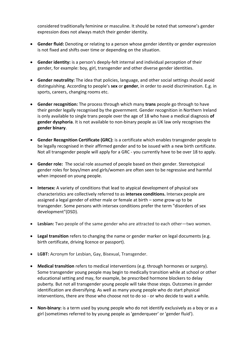considered traditionally feminine or masculine. It should be noted that someone's gender expression does not always match their gender identity.

- **Gender fluid:** Denoting or relating to a person whose gender identity or gender expression is not fixed and shifts over time or depending on the situation.
- **Gender identity:** is a person's deeply-felt internal and individual perception of their gender, for example: boy, girl, transgender and other diverse gender identities.
- **Gender neutrality:** The idea that policies, language, and other social settings should avoid distinguishing. According to people's **sex** or **gender**, in order to avoid discrimination. E.g. in sports, careers, changing rooms etc.
- **Gender recognition:** The process through which many **trans** people go through to have their gender legally recognised by the government. Gender recognition in Northern Ireland is only available to single trans people over the age of 18 who have a medical diagnosis **of gender dysphoria**. It is not available to non‐binary people as UK law only recognises the **gender binary**.
- **Gender Recognition Certificate (GRC):** is a certificate which enables transgender people to be legally recognised in their affirmed gender and to be issued with a new birth certificate. Not all transgender people will apply for a GRC - you currently have to be over 18 to apply.
- **Gender role:** The social role assumed of people based on their gender. Stereotypical gender roles for boys/men and girls/women are often seen to be regressive and harmful when imposed on young people.
- **Intersex:** A variety of conditions that lead to atypical development of physical sex characteristics are collectively referred to as **intersex conditions.** Intersex people are assigned a legal gender of either male or female at birth – some grow up to be transgender. Some persons with intersex conditions prefer the term "disorders of sex development"(DSD).
- **Lesbian:** Two people of the same gender who are attracted to each other—two women.
- **Legal transition** refers to changing the name or gender marker on legal documents (e.g. birth certificate, driving licence or passport).
- **LGBT:** Acronym for Lesbian, Gay, Bisexual, Transgender.
- **Medical transition** refers to medical interventions (e.g. through hormones or surgery). Some transgender young people may begin to medically transition while at school or other educational setting and may, for example, be prescribed hormone blockers to delay puberty*.* But not all transgender young people will take those steps. Outcomes in gender identification are diversifying. As well as many young people who do start physical interventions, there are those who choose not to do so - or who decide to wait a while.
- **Non-binary:** is a term used by young people who do not identify exclusively as a boy or as a girl (sometimes referred to by young people as 'genderqueer' or 'gender fluid').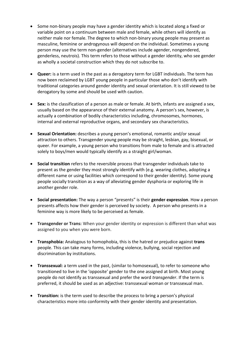- Some non-binary people may have a gender identity which is located along a fixed or variable point on a continuum between male and female, while others will identify as neither male nor female. The degree to which non-binary young people may present as masculine, feminine or androgynous will depend on the individual. Sometimes a young person may use the term non-gender (alternatives include agender, nongendered, genderless, neutrois). This term refers to those without a gender identity, who see gender as wholly a societal construction which they do not subscribe to.
- **Queer:** is a term used in the past as a derogatory term for LGBT individuals. The term has now been reclaimed by LGBT young people in particular those who don't identify with traditional categories around gender identity and sexual orientation. It is still viewed to be derogatory by some and should be used with caution.
- **Sex:** is the classification of a person as male or female. At birth, infants are assigned a sex, usually based on the appearance of their external anatomy. A person's sex, however, is actually a combination of bodily characteristics including, chromosomes, hormones, internal and external reproductive organs, and secondary sex characteristics.
- **Sexual Orientation:** describes a young person's emotional, romantic and/or sexual attraction to others. Transgender young people may be straight, lesbian, gay, bisexual, or queer. For example, a young person who transitions from male to female and is attracted solely to boys/men would typically identify as a straight girl/woman.
- **Social transition** refers to the reversible process that transgender individuals take to present as the gender they most strongly identify with (e.g. wearing clothes, adopting a different name or using facilities which correspond to their gender identity). Some young people socially transition as a way of alleviating gender dysphoria or exploring life in another gender role.
- **Social presentation:** The way a person "presents" is their **gender expression**. How a person presents affects how their gender is perceived by society. A person who presents in a feminine way is more likely to be perceived as female.
- **Transgender or Trans:** When your gender identity or expression is different than what was assigned to you when you were born.
- **Transphobia:** Analogous to homophobia, this is the hatred or prejudice against **trans**  people. This can take many forms, including violence, bullying, social rejection and discrimination by institutions.
- **Transsexual:** a term used in the past, (similar to homosexual), to refer to someone who transitioned to live in the 'opposite' gender to the one assigned at birth. Most young people do not identify as transsexual and prefer the word *transgender*. If the term is preferred, it should be used as an adjective: transsexual woman or transsexual man.
- **Transition:** is the term used to describe the process to bring a person's physical characteristics more into conformity with their gender identity and presentation.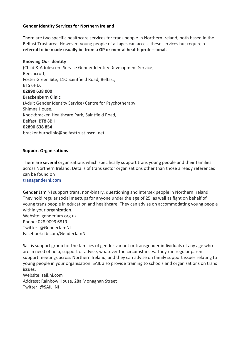#### **Gender Identity Services for Northern Ireland**

There are two specific healthcare services for trans people in Northern Ireland, both based in the Belfast Trust area. However, young people of all ages can access these services but require a **referral to be made usually be from a GP or mental health professional.**

#### **Knowing Our Identity**

(Child & Adolescent Service Gender Identity Development Service) Beechcroft, Foster Green Site, 11O Saintfield Road, Belfast, BTS 6HD. **02890 638 000 Brackenburn Clinic** (Adult Gender Identity Service) Centre for Psychotherapy, Shimna House, Knockbracken Healthcare Park, Saintfield Road, Belfast, BT8 8BH. **02890 638 854** brackenburnclinic@belfasttrust.hscni.net

#### **Support Organisations**

There are several organisations which specifically support trans young people and their families across Northern Ireland. Details of trans sector organisations other than those already referenced can be found on

#### **transgenderni.com**

Gender Jam NI support trans, non‐binary, questioning and intersex people in Northern Ireland. They hold regular social meetups for anyone under the age of 25, as well as fight on behalf of young trans people in education and healthcare. They can advise on accommodating young people within your organization. Website: genderjam.org.uk Phone: 028 9099 6819 Twitter: @GenderJamNI Facebook: fb.com/GenderJamNI

Sail is support group for the families of gender variant or transgender individuals of any age who are in need of help, support or advice, whatever the circumstances. They run regular parent support meetings across Northern Ireland, and they can advise on family support issues relating to young people in your organisation. SAIL also provide training to schools and organisations on trans issues.

Website: sail.ni.com Address: Rainbow House, 28a Monaghan Street Twitter: @SAIL\_NI